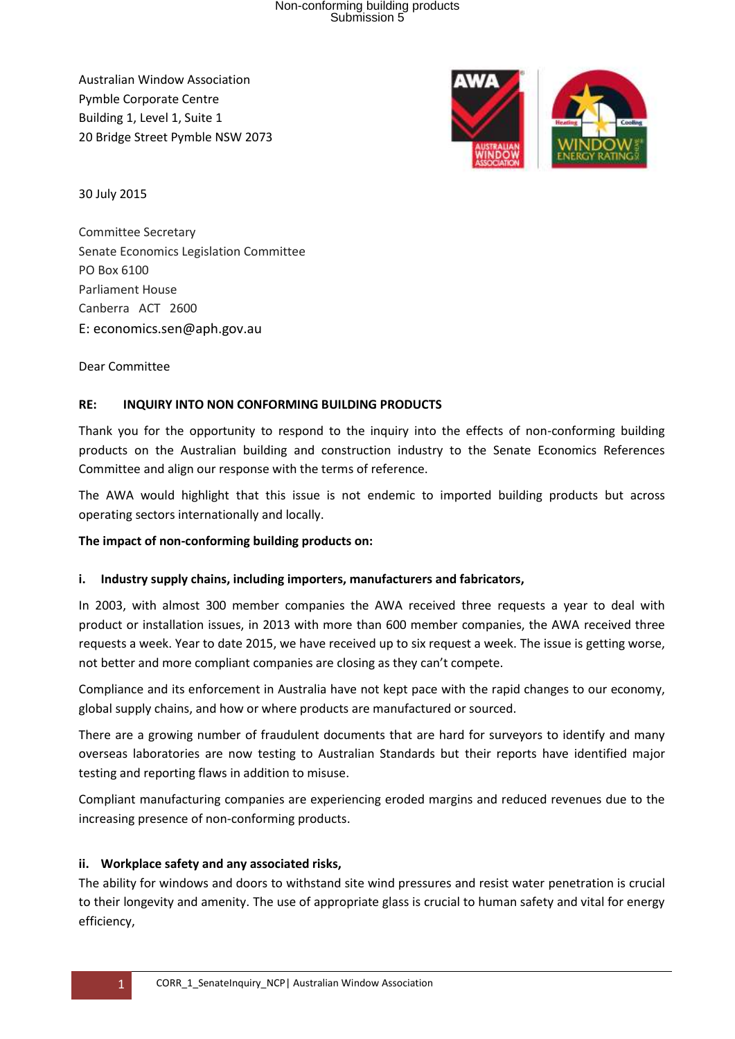Australian Window Association Pymble Corporate Centre Building 1, Level 1, Suite 1 20 Bridge Street Pymble NSW 2073



30 July 2015

Committee Secretary Senate Economics Legislation Committee PO Box 6100 Parliament House Canberra ACT 2600 E: economics.sen@aph.gov.au

Dear Committee

#### **RE: INQUIRY INTO NON CONFORMING BUILDING PRODUCTS**

Thank you for the opportunity to respond to the inquiry into the effects of non-conforming building products on the Australian building and construction industry to the Senate Economics References Committee and align our response with the terms of reference.

The AWA would highlight that this issue is not endemic to imported building products but across operating sectors internationally and locally.

#### **The impact of non-conforming building products on:**

#### **i. Industry supply chains, including importers, manufacturers and fabricators,**

In 2003, with almost 300 member companies the AWA received three requests a year to deal with product or installation issues, in 2013 with more than 600 member companies, the AWA received three requests a week. Year to date 2015, we have received up to six request a week. The issue is getting worse, not better and more compliant companies are closing as they can't compete.

Compliance and its enforcement in Australia have not kept pace with the rapid changes to our economy, global supply chains, and how or where products are manufactured or sourced.

There are a growing number of fraudulent documents that are hard for surveyors to identify and many overseas laboratories are now testing to Australian Standards but their reports have identified major testing and reporting flaws in addition to misuse.

Compliant manufacturing companies are experiencing eroded margins and reduced revenues due to the increasing presence of non-conforming products.

#### **ii. Workplace safety and any associated risks,**

The ability for windows and doors to withstand site wind pressures and resist water penetration is crucial to their longevity and amenity. The use of appropriate glass is crucial to human safety and vital for energy efficiency,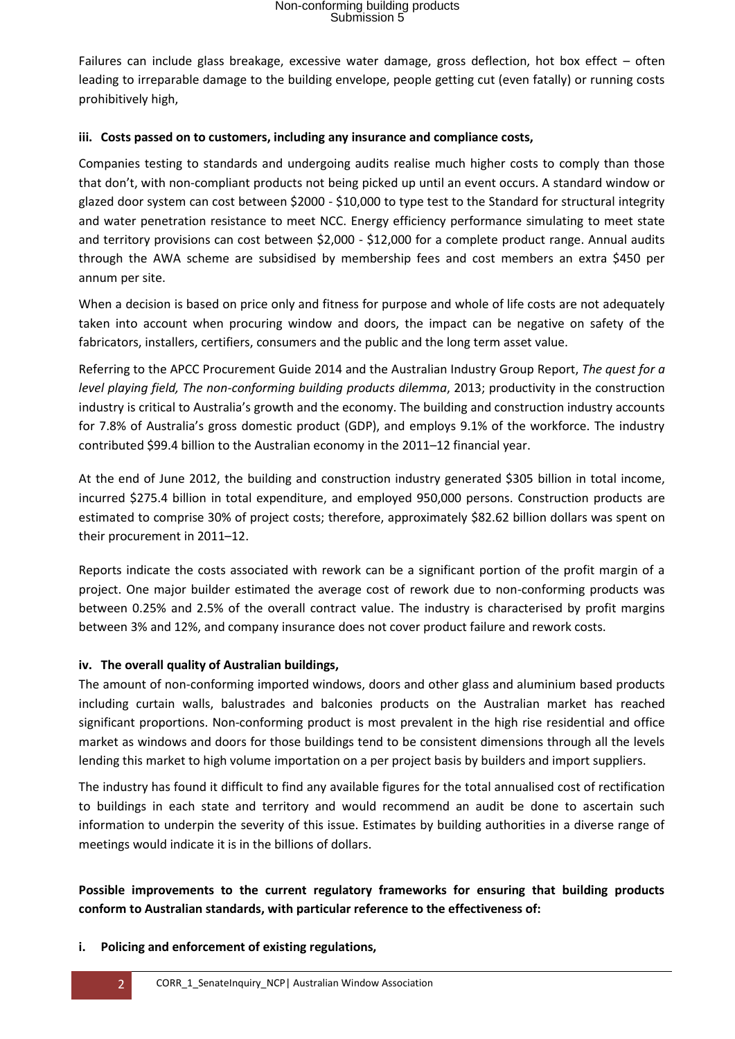Failures can include glass breakage, excessive water damage, gross deflection, hot box effect – often leading to irreparable damage to the building envelope, people getting cut (even fatally) or running costs prohibitively high,

## **iii. Costs passed on to customers, including any insurance and compliance costs,**

Companies testing to standards and undergoing audits realise much higher costs to comply than those that don't, with non-compliant products not being picked up until an event occurs. A standard window or glazed door system can cost between \$2000 - \$10,000 to type test to the Standard for structural integrity and water penetration resistance to meet NCC. Energy efficiency performance simulating to meet state and territory provisions can cost between \$2,000 - \$12,000 for a complete product range. Annual audits through the AWA scheme are subsidised by membership fees and cost members an extra \$450 per annum per site.

When a decision is based on price only and fitness for purpose and whole of life costs are not adequately taken into account when procuring window and doors, the impact can be negative on safety of the fabricators, installers, certifiers, consumers and the public and the long term asset value.

Referring to the APCC Procurement Guide 2014 and the Australian Industry Group Report, *The quest for a level playing field, The non-conforming building products dilemma*, 2013; productivity in the construction industry is critical to Australia's growth and the economy. The building and construction industry accounts for 7.8% of Australia's gross domestic product (GDP), and employs 9.1% of the workforce. The industry contributed \$99.4 billion to the Australian economy in the 2011–12 financial year.

At the end of June 2012, the building and construction industry generated \$305 billion in total income, incurred \$275.4 billion in total expenditure, and employed 950,000 persons. Construction products are estimated to comprise 30% of project costs; therefore, approximately \$82.62 billion dollars was spent on their procurement in 2011–12.

Reports indicate the costs associated with rework can be a significant portion of the profit margin of a project. One major builder estimated the average cost of rework due to non-conforming products was between 0.25% and 2.5% of the overall contract value. The industry is characterised by profit margins between 3% and 12%, and company insurance does not cover product failure and rework costs.

## **iv. The overall quality of Australian buildings,**

The amount of non-conforming imported windows, doors and other glass and aluminium based products including curtain walls, balustrades and balconies products on the Australian market has reached significant proportions. Non-conforming product is most prevalent in the high rise residential and office market as windows and doors for those buildings tend to be consistent dimensions through all the levels lending this market to high volume importation on a per project basis by builders and import suppliers.

The industry has found it difficult to find any available figures for the total annualised cost of rectification to buildings in each state and territory and would recommend an audit be done to ascertain such information to underpin the severity of this issue. Estimates by building authorities in a diverse range of meetings would indicate it is in the billions of dollars.

**Possible improvements to the current regulatory frameworks for ensuring that building products conform to Australian standards, with particular reference to the effectiveness of:** 

#### **i. Policing and enforcement of existing regulations,**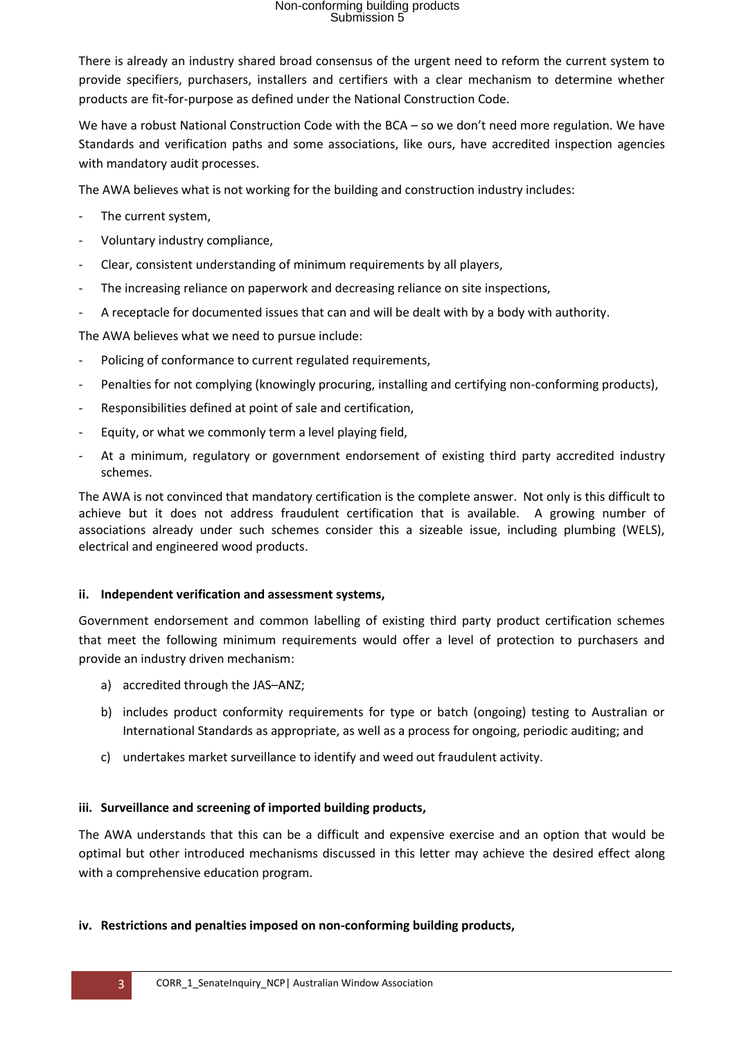There is already an industry shared broad consensus of the urgent need to reform the current system to provide specifiers, purchasers, installers and certifiers with a clear mechanism to determine whether products are fit‐for‐purpose as defined under the National Construction Code.

We have a robust National Construction Code with the BCA - so we don't need more regulation. We have Standards and verification paths and some associations, like ours, have accredited inspection agencies with mandatory audit processes.

The AWA believes what is not working for the building and construction industry includes:

- The current system,
- Voluntary industry compliance,
- Clear, consistent understanding of minimum requirements by all players,
- The increasing reliance on paperwork and decreasing reliance on site inspections,
- A receptacle for documented issues that can and will be dealt with by a body with authority.

The AWA believes what we need to pursue include:

- Policing of conformance to current regulated requirements.
- Penalties for not complying (knowingly procuring, installing and certifying non-conforming products),
- Responsibilities defined at point of sale and certification,
- Equity, or what we commonly term a level playing field,
- At a minimum, regulatory or government endorsement of existing third party accredited industry schemes.

The AWA is not convinced that mandatory certification is the complete answer. Not only is this difficult to achieve but it does not address fraudulent certification that is available. A growing number of associations already under such schemes consider this a sizeable issue, including plumbing (WELS), electrical and engineered wood products.

## **ii. Independent verification and assessment systems,**

Government endorsement and common labelling of existing third party product certification schemes that meet the following minimum requirements would offer a level of protection to purchasers and provide an industry driven mechanism:

- a) accredited through the JAS–ANZ;
- b) includes product conformity requirements for type or batch (ongoing) testing to Australian or International Standards as appropriate, as well as a process for ongoing, periodic auditing; and
- c) undertakes market surveillance to identify and weed out fraudulent activity.

## **iii. Surveillance and screening of imported building products,**

The AWA understands that this can be a difficult and expensive exercise and an option that would be optimal but other introduced mechanisms discussed in this letter may achieve the desired effect along with a comprehensive education program.

## **iv. Restrictions and penalties imposed on non-conforming building products,**